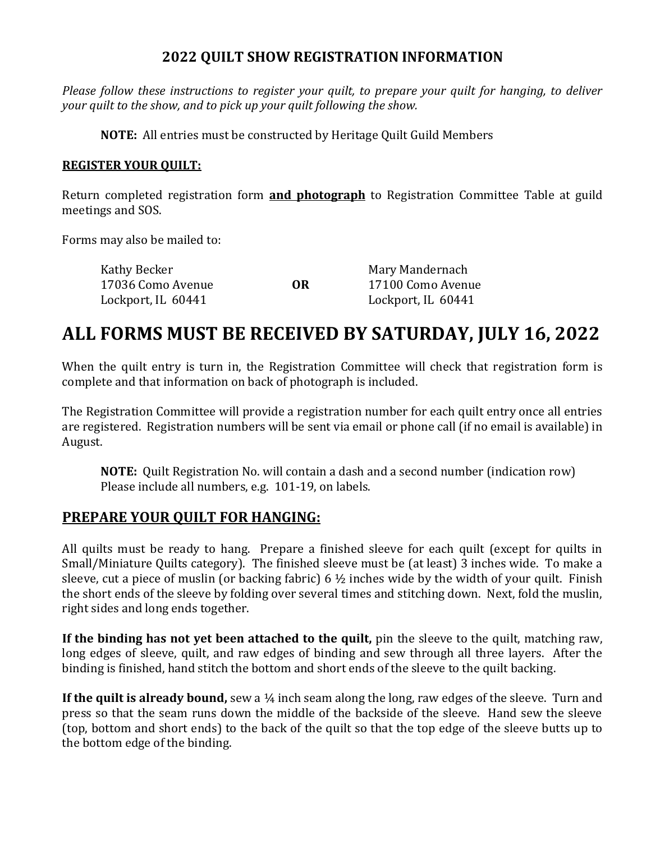## **2022 QUILT SHOW REGISTRATION INFORMATION**

*Please follow these instructions to register your quilt, to prepare your quilt for hanging, to deliver your quilt to the show, and to pick up your quilt following the show.*

**NOTE:** All entries must be constructed by Heritage Quilt Guild Members

#### **REGISTER YOUR QUILT:**

Return completed registration form **and photograph** to Registration Committee Table at guild meetings and SOS.

Forms may also be mailed to:

| Kathy Becker       |    | Mary Mandernach    |
|--------------------|----|--------------------|
| 17036 Como Avenue  | OR | 17100 Como Avenue  |
| Lockport, IL 60441 |    | Lockport, IL 60441 |

# **ALL FORMS MUST BE RECEIVED BY SATURDAY, JULY 16, 2022**

When the quilt entry is turn in, the Registration Committee will check that registration form is complete and that information on back of photograph is included.

The Registration Committee will provide a registration number for each quilt entry once all entries are registered. Registration numbers will be sent via email or phone call (if no email is available) in August.

**NOTE:** Quilt Registration No. will contain a dash and a second number (indication row) Please include all numbers, e.g. 101-19, on labels.

#### **PREPARE YOUR QUILT FOR HANGING:**

All quilts must be ready to hang. Prepare a finished sleeve for each quilt (except for quilts in Small/Miniature Quilts category). The finished sleeve must be (at least) 3 inches wide. To make a sleeve, cut a piece of muslin (or backing fabric)  $6\frac{1}{2}$  inches wide by the width of your quilt. Finish the short ends of the sleeve by folding over several times and stitching down. Next, fold the muslin, right sides and long ends together.

**If the binding has not yet been attached to the quilt,** pin the sleeve to the quilt, matching raw, long edges of sleeve, quilt, and raw edges of binding and sew through all three layers. After the binding is finished, hand stitch the bottom and short ends of the sleeve to the quilt backing.

**If the quilt is already bound,** sew a 1/4 inch seam along the long, raw edges of the sleeve. Turn and press so that the seam runs down the middle of the backside of the sleeve. Hand sew the sleeve (top, bottom and short ends) to the back of the quilt so that the top edge of the sleeve butts up to the bottom edge of the binding.